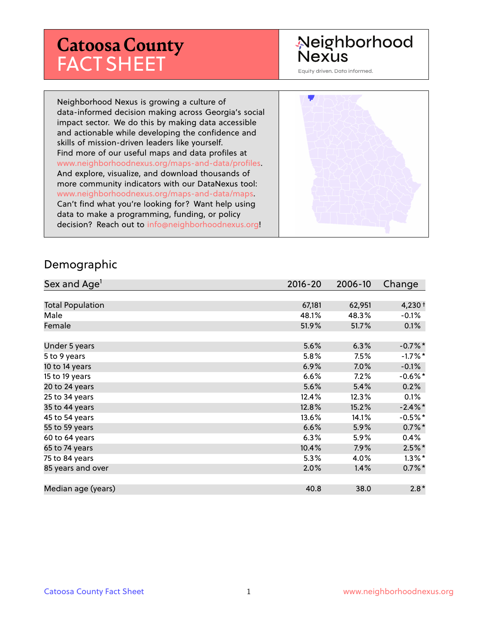# **Catoosa County** FACT SHEET

## Neighborhood **Nexus**

Equity driven. Data informed.

Neighborhood Nexus is growing a culture of data-informed decision making across Georgia's social impact sector. We do this by making data accessible and actionable while developing the confidence and skills of mission-driven leaders like yourself. Find more of our useful maps and data profiles at www.neighborhoodnexus.org/maps-and-data/profiles. And explore, visualize, and download thousands of more community indicators with our DataNexus tool: www.neighborhoodnexus.org/maps-and-data/maps. Can't find what you're looking for? Want help using data to make a programming, funding, or policy decision? Reach out to [info@neighborhoodnexus.org!](mailto:info@neighborhoodnexus.org)



#### Demographic

| Sex and Age <sup>1</sup> | $2016 - 20$ | 2006-10 | Change     |
|--------------------------|-------------|---------|------------|
|                          |             |         |            |
| <b>Total Population</b>  | 67,181      | 62,951  | $4,230+$   |
| Male                     | 48.1%       | 48.3%   | $-0.1%$    |
| Female                   | 51.9%       | 51.7%   | 0.1%       |
|                          |             |         |            |
| Under 5 years            | 5.6%        | 6.3%    | $-0.7%$ *  |
| 5 to 9 years             | 5.8%        | 7.5%    | $-1.7%$ *  |
| 10 to 14 years           | 6.9%        | 7.0%    | $-0.1%$    |
| 15 to 19 years           | 6.6%        | $7.2\%$ | $-0.6%$ *  |
| 20 to 24 years           | 5.6%        | 5.4%    | 0.2%       |
| 25 to 34 years           | 12.4%       | 12.3%   | 0.1%       |
| 35 to 44 years           | 12.8%       | 15.2%   | $-2.4\%$ * |
| 45 to 54 years           | 13.6%       | 14.1%   | $-0.5%$ *  |
| 55 to 59 years           | 6.6%        | 5.9%    | $0.7\%$ *  |
| 60 to 64 years           | 6.3%        | 5.9%    | $0.4\%$    |
| 65 to 74 years           | 10.4%       | 7.9%    | $2.5\%$ *  |
| 75 to 84 years           | 5.3%        | 4.0%    | $1.3\%$ *  |
| 85 years and over        | 2.0%        | 1.4%    | $0.7\%$ *  |
|                          |             |         |            |
| Median age (years)       | 40.8        | 38.0    | $2.8*$     |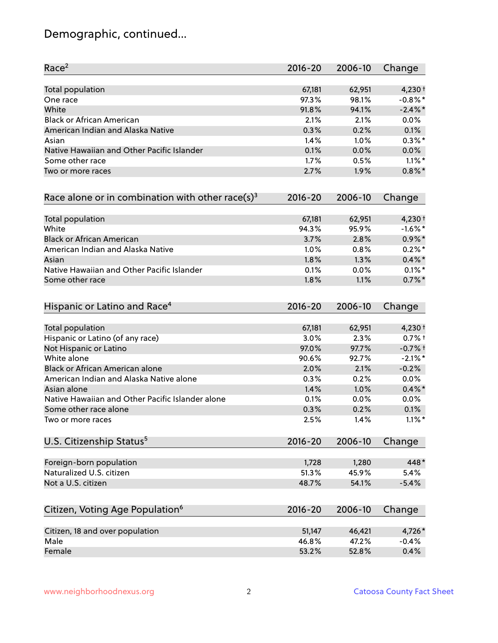# Demographic, continued...

| Race <sup>2</sup>                                            | $2016 - 20$ | 2006-10 | Change     |
|--------------------------------------------------------------|-------------|---------|------------|
| <b>Total population</b>                                      | 67,181      | 62,951  | $4,230+$   |
| One race                                                     | 97.3%       | 98.1%   | $-0.8\%$ * |
| White                                                        | 91.8%       | 94.1%   | $-2.4\%$ * |
| <b>Black or African American</b>                             | 2.1%        | 2.1%    | 0.0%       |
| American Indian and Alaska Native                            | 0.3%        | 0.2%    | 0.1%       |
| Asian                                                        | 1.4%        | 1.0%    | $0.3\%$ *  |
| Native Hawaiian and Other Pacific Islander                   | 0.1%        | 0.0%    | 0.0%       |
| Some other race                                              | 1.7%        | 0.5%    | $1.1\%$ *  |
| Two or more races                                            | 2.7%        | 1.9%    | $0.8\%$ *  |
| Race alone or in combination with other race(s) <sup>3</sup> | $2016 - 20$ | 2006-10 | Change     |
| Total population                                             | 67,181      | 62,951  | $4,230+$   |
| White                                                        | 94.3%       | 95.9%   | $-1.6%$ *  |
| <b>Black or African American</b>                             | 3.7%        | 2.8%    | $0.9\% *$  |
| American Indian and Alaska Native                            | 1.0%        | 0.8%    | $0.2%$ *   |
| Asian                                                        | 1.8%        | 1.3%    | $0.4\% *$  |
| Native Hawaiian and Other Pacific Islander                   | 0.1%        | 0.0%    | $0.1\%$ *  |
| Some other race                                              | 1.8%        | 1.1%    | $0.7%$ *   |
| Hispanic or Latino and Race <sup>4</sup>                     | $2016 - 20$ | 2006-10 | Change     |
| <b>Total population</b>                                      | 67,181      | 62,951  | $4,230+$   |
| Hispanic or Latino (of any race)                             | 3.0%        | 2.3%    | $0.7%$ †   |
| Not Hispanic or Latino                                       | 97.0%       | 97.7%   | $-0.7%$ †  |
| White alone                                                  | 90.6%       | 92.7%   | $-2.1\%$ * |
| Black or African American alone                              | 2.0%        | 2.1%    | $-0.2%$    |
| American Indian and Alaska Native alone                      | 0.3%        | 0.2%    | 0.0%       |
| Asian alone                                                  | 1.4%        | 1.0%    | $0.4\%$ *  |
| Native Hawaiian and Other Pacific Islander alone             | 0.1%        | 0.0%    | 0.0%       |
| Some other race alone                                        | 0.3%        | 0.2%    | 0.1%       |
| Two or more races                                            | 2.5%        | 1.4%    | $1.1\%$ *  |
| U.S. Citizenship Status <sup>5</sup>                         | $2016 - 20$ | 2006-10 | Change     |
| Foreign-born population                                      | 1,728       | 1,280   | 448*       |
| Naturalized U.S. citizen                                     | 51.3%       | 45.9%   | 5.4%       |
| Not a U.S. citizen                                           | 48.7%       | 54.1%   | $-5.4%$    |
| Citizen, Voting Age Population <sup>6</sup>                  | $2016 - 20$ | 2006-10 | Change     |
|                                                              |             |         |            |
| Citizen, 18 and over population                              | 51,147      | 46,421  | 4,726*     |
| Male                                                         | 46.8%       | 47.2%   | $-0.4%$    |
| Female                                                       | 53.2%       | 52.8%   | 0.4%       |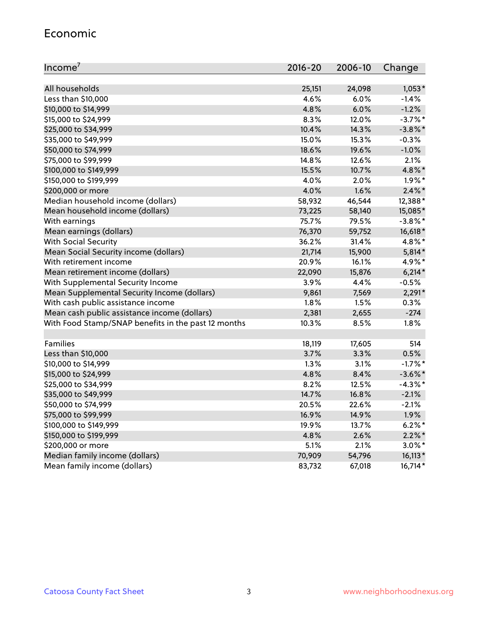#### Economic

| Income <sup>7</sup>                                 | $2016 - 20$ | 2006-10 | Change     |
|-----------------------------------------------------|-------------|---------|------------|
|                                                     |             |         |            |
| All households                                      | 25,151      | 24,098  | $1,053*$   |
| Less than \$10,000                                  | 4.6%        | 6.0%    | $-1.4%$    |
| \$10,000 to \$14,999                                | 4.8%        | 6.0%    | $-1.2%$    |
| \$15,000 to \$24,999                                | 8.3%        | 12.0%   | $-3.7\%$ * |
| \$25,000 to \$34,999                                | 10.4%       | 14.3%   | $-3.8\%$ * |
| \$35,000 to \$49,999                                | 15.0%       | 15.3%   | $-0.3%$    |
| \$50,000 to \$74,999                                | 18.6%       | 19.6%   | $-1.0%$    |
| \$75,000 to \$99,999                                | 14.8%       | 12.6%   | 2.1%       |
| \$100,000 to \$149,999                              | 15.5%       | 10.7%   | 4.8%*      |
| \$150,000 to \$199,999                              | 4.0%        | 2.0%    | $1.9\%$ *  |
| \$200,000 or more                                   | 4.0%        | 1.6%    | $2.4\%$ *  |
| Median household income (dollars)                   | 58,932      | 46,544  | 12,388*    |
| Mean household income (dollars)                     | 73,225      | 58,140  | 15,085*    |
| With earnings                                       | 75.7%       | 79.5%   | $-3.8\%$ * |
| Mean earnings (dollars)                             | 76,370      | 59,752  | 16,618*    |
| <b>With Social Security</b>                         | 36.2%       | 31.4%   | 4.8%*      |
| Mean Social Security income (dollars)               | 21,714      | 15,900  | $5,814*$   |
| With retirement income                              | 20.9%       | 16.1%   | 4.9%*      |
| Mean retirement income (dollars)                    | 22,090      | 15,876  | $6,214*$   |
| With Supplemental Security Income                   | 3.9%        | 4.4%    | $-0.5%$    |
| Mean Supplemental Security Income (dollars)         | 9,861       | 7,569   | $2,291*$   |
| With cash public assistance income                  | 1.8%        | 1.5%    | 0.3%       |
| Mean cash public assistance income (dollars)        | 2,381       | 2,655   | $-274$     |
| With Food Stamp/SNAP benefits in the past 12 months | 10.3%       | 8.5%    | 1.8%       |
|                                                     |             |         |            |
| Families                                            | 18,119      | 17,605  | 514        |
| Less than \$10,000                                  | 3.7%        | 3.3%    | 0.5%       |
| \$10,000 to \$14,999                                | 1.3%        | 3.1%    | $-1.7%$ *  |
| \$15,000 to \$24,999                                | 4.8%        | 8.4%    | $-3.6\%$ * |
| \$25,000 to \$34,999                                | 8.2%        | 12.5%   | $-4.3\%$ * |
| \$35,000 to \$49,999                                | 14.7%       | 16.8%   | $-2.1%$    |
| \$50,000 to \$74,999                                | 20.5%       | 22.6%   | $-2.1%$    |
| \$75,000 to \$99,999                                | 16.9%       | 14.9%   | 1.9%       |
| \$100,000 to \$149,999                              | 19.9%       | 13.7%   | $6.2%$ *   |
| \$150,000 to \$199,999                              | 4.8%        | 2.6%    | $2.2\%$ *  |
| \$200,000 or more                                   | 5.1%        | 2.1%    | $3.0\%$ *  |
| Median family income (dollars)                      | 70,909      | 54,796  | $16,113*$  |
| Mean family income (dollars)                        | 83,732      | 67,018  | 16,714*    |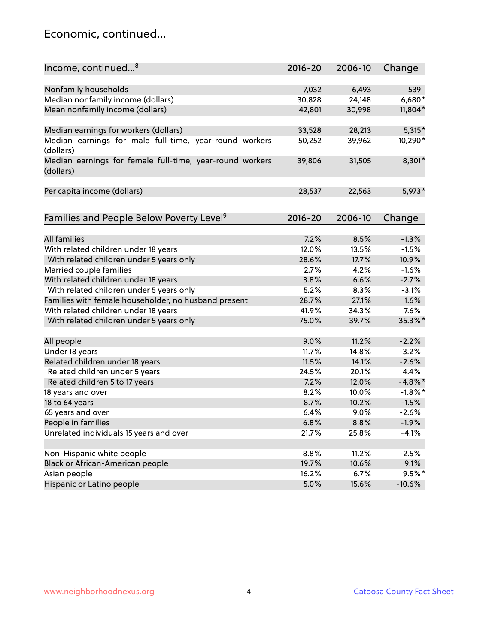### Economic, continued...

| Income, continued <sup>8</sup>                                        | $2016 - 20$ | 2006-10 | Change     |
|-----------------------------------------------------------------------|-------------|---------|------------|
|                                                                       |             |         |            |
| Nonfamily households                                                  | 7,032       | 6,493   | 539        |
| Median nonfamily income (dollars)                                     | 30,828      | 24,148  | 6,680*     |
| Mean nonfamily income (dollars)                                       | 42,801      | 30,998  | 11,804*    |
|                                                                       |             |         |            |
| Median earnings for workers (dollars)                                 | 33,528      | 28,213  | $5,315*$   |
| Median earnings for male full-time, year-round workers<br>(dollars)   | 50,252      | 39,962  | 10,290*    |
| Median earnings for female full-time, year-round workers<br>(dollars) | 39,806      | 31,505  | 8,301*     |
| Per capita income (dollars)                                           | 28,537      | 22,563  | 5,973*     |
|                                                                       |             |         |            |
| Families and People Below Poverty Level <sup>9</sup>                  | $2016 - 20$ | 2006-10 | Change     |
|                                                                       |             |         |            |
| <b>All families</b>                                                   | 7.2%        | 8.5%    | $-1.3%$    |
| With related children under 18 years                                  | 12.0%       | 13.5%   | $-1.5%$    |
| With related children under 5 years only                              | 28.6%       | 17.7%   | 10.9%      |
| Married couple families                                               | 2.7%        | 4.2%    | $-1.6%$    |
| With related children under 18 years                                  | 3.8%        | 6.6%    | $-2.7%$    |
| With related children under 5 years only                              | 5.2%        | 8.3%    | $-3.1%$    |
| Families with female householder, no husband present                  | 28.7%       | 27.1%   | 1.6%       |
| With related children under 18 years                                  | 41.9%       | 34.3%   | 7.6%       |
| With related children under 5 years only                              | 75.0%       | 39.7%   | 35.3%*     |
| All people                                                            | 9.0%        | 11.2%   | $-2.2%$    |
| Under 18 years                                                        | 11.7%       | 14.8%   | $-3.2%$    |
| Related children under 18 years                                       | 11.5%       | 14.1%   | $-2.6%$    |
| Related children under 5 years                                        | 24.5%       | 20.1%   | 4.4%       |
| Related children 5 to 17 years                                        | 7.2%        | 12.0%   | $-4.8\%$ * |
| 18 years and over                                                     | 8.2%        | 10.0%   | $-1.8\%$ * |
| 18 to 64 years                                                        | 8.7%        | 10.2%   | $-1.5%$    |
| 65 years and over                                                     | 6.4%        | 9.0%    | $-2.6%$    |
| People in families                                                    | 6.8%        | 8.8%    | $-1.9%$    |
| Unrelated individuals 15 years and over                               | 21.7%       | 25.8%   | $-4.1%$    |
|                                                                       |             |         |            |
| Non-Hispanic white people                                             | 8.8%        | 11.2%   | $-2.5%$    |
| Black or African-American people                                      | 19.7%       | 10.6%   | 9.1%       |
| Asian people                                                          | 16.2%       | 6.7%    | $9.5%$ *   |
| Hispanic or Latino people                                             | 5.0%        | 15.6%   | $-10.6%$   |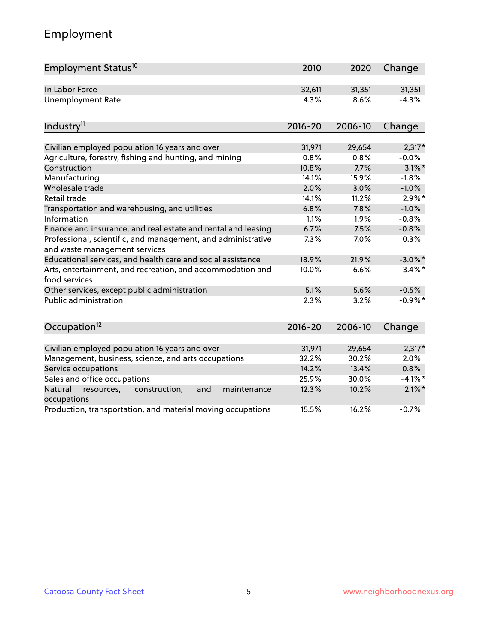# Employment

| Employment Status <sup>10</sup>                                                               | 2010        | 2020    | Change     |
|-----------------------------------------------------------------------------------------------|-------------|---------|------------|
| In Labor Force                                                                                | 32,611      | 31,351  | 31,351     |
| <b>Unemployment Rate</b>                                                                      | 4.3%        | 8.6%    | $-4.3%$    |
| Industry <sup>11</sup>                                                                        | $2016 - 20$ | 2006-10 | Change     |
| Civilian employed population 16 years and over                                                | 31,971      | 29,654  | $2,317*$   |
| Agriculture, forestry, fishing and hunting, and mining                                        | 0.8%        | 0.8%    | $-0.0%$    |
| Construction                                                                                  | 10.8%       | 7.7%    | $3.1\%$ *  |
| Manufacturing                                                                                 | 14.1%       | 15.9%   | $-1.8%$    |
| Wholesale trade                                                                               | 2.0%        | 3.0%    | $-1.0%$    |
| Retail trade                                                                                  | 14.1%       | 11.2%   | $2.9\%$ *  |
| Transportation and warehousing, and utilities                                                 | 6.8%        | 7.8%    | $-1.0%$    |
| Information                                                                                   | 1.1%        | 1.9%    | $-0.8%$    |
| Finance and insurance, and real estate and rental and leasing                                 | 6.7%        | 7.5%    | $-0.8%$    |
| Professional, scientific, and management, and administrative<br>and waste management services | 7.3%        | 7.0%    | 0.3%       |
| Educational services, and health care and social assistance                                   | 18.9%       | 21.9%   | $-3.0\%$ * |
| Arts, entertainment, and recreation, and accommodation and<br>food services                   | 10.0%       | 6.6%    | $3.4\%$ *  |
| Other services, except public administration                                                  | 5.1%        | 5.6%    | $-0.5%$    |
| <b>Public administration</b>                                                                  | 2.3%        | 3.2%    | $-0.9%$ *  |
| Occupation <sup>12</sup>                                                                      | $2016 - 20$ | 2006-10 | Change     |
|                                                                                               |             |         |            |
| Civilian employed population 16 years and over                                                | 31,971      | 29,654  | $2,317*$   |
| Management, business, science, and arts occupations                                           | 32.2%       | 30.2%   | 2.0%       |
| Service occupations                                                                           | 14.2%       | 13.4%   | 0.8%       |
| Sales and office occupations                                                                  | 25.9%       | 30.0%   | $-4.1\%$ * |
| Natural<br>resources,<br>construction,<br>and<br>maintenance<br>occupations                   | 12.3%       | 10.2%   | $2.1\%$ *  |
| Production, transportation, and material moving occupations                                   | 15.5%       | 16.2%   | $-0.7%$    |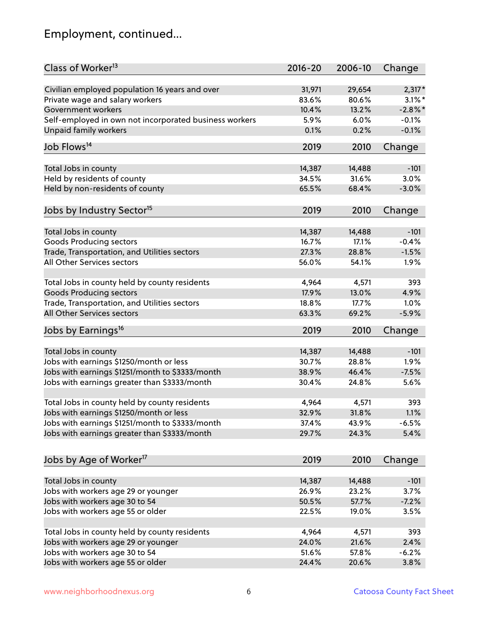# Employment, continued...

| Class of Worker <sup>13</sup>                          | $2016 - 20$     | 2006-10 | Change         |
|--------------------------------------------------------|-----------------|---------|----------------|
| Civilian employed population 16 years and over         | 31,971          | 29,654  | $2,317*$       |
| Private wage and salary workers                        | 83.6%           | 80.6%   | $3.1\%$ *      |
| Government workers                                     | 10.4%           | 13.2%   | $-2.8\%$ *     |
| Self-employed in own not incorporated business workers | 5.9%            | 6.0%    | $-0.1%$        |
| <b>Unpaid family workers</b>                           | 0.1%            | 0.2%    | $-0.1%$        |
| Job Flows <sup>14</sup>                                | 2019            | 2010    | Change         |
|                                                        |                 | 14,488  |                |
| Total Jobs in county                                   | 14,387<br>34.5% | 31.6%   | $-101$<br>3.0% |
| Held by residents of county                            |                 |         |                |
| Held by non-residents of county                        | 65.5%           | 68.4%   | $-3.0%$        |
| Jobs by Industry Sector <sup>15</sup>                  | 2019            | 2010    | Change         |
| Total Jobs in county                                   | 14,387          | 14,488  | $-101$         |
| <b>Goods Producing sectors</b>                         | 16.7%           | 17.1%   | $-0.4%$        |
| Trade, Transportation, and Utilities sectors           | 27.3%           | 28.8%   | $-1.5%$        |
| All Other Services sectors                             | 56.0%           | 54.1%   | 1.9%           |
|                                                        |                 |         |                |
| Total Jobs in county held by county residents          | 4,964           | 4,571   | 393            |
| <b>Goods Producing sectors</b>                         | 17.9%           | 13.0%   | 4.9%           |
| Trade, Transportation, and Utilities sectors           | 18.8%           | 17.7%   | 1.0%           |
| All Other Services sectors                             | 63.3%           | 69.2%   | $-5.9%$        |
| Jobs by Earnings <sup>16</sup>                         | 2019            | 2010    | Change         |
| Total Jobs in county                                   | 14,387          | 14,488  | $-101$         |
| Jobs with earnings \$1250/month or less                | 30.7%           | 28.8%   | 1.9%           |
| Jobs with earnings \$1251/month to \$3333/month        | 38.9%           | 46.4%   | $-7.5%$        |
|                                                        | 30.4%           | 24.8%   | 5.6%           |
| Jobs with earnings greater than \$3333/month           |                 |         |                |
| Total Jobs in county held by county residents          | 4,964           | 4,571   | 393            |
| Jobs with earnings \$1250/month or less                | 32.9%           | 31.8%   | 1.1%           |
| Jobs with earnings \$1251/month to \$3333/month        | 37.4%           | 43.9%   | $-6.5%$        |
| Jobs with earnings greater than \$3333/month           | 29.7%           | 24.3%   | 5.4%           |
| Jobs by Age of Worker <sup>17</sup>                    | 2019            | 2010    | Change         |
|                                                        |                 |         |                |
| Total Jobs in county                                   | 14,387          | 14,488  | $-101$         |
| Jobs with workers age 29 or younger                    | 26.9%           | 23.2%   | 3.7%           |
| Jobs with workers age 30 to 54                         | 50.5%           | 57.7%   | $-7.2%$        |
| Jobs with workers age 55 or older                      | 22.5%           | 19.0%   | 3.5%           |
|                                                        |                 |         |                |
| Total Jobs in county held by county residents          | 4,964           | 4,571   | 393            |
| Jobs with workers age 29 or younger                    | 24.0%           | 21.6%   | 2.4%           |
| Jobs with workers age 30 to 54                         | 51.6%           | 57.8%   | $-6.2%$        |
| Jobs with workers age 55 or older                      | 24.4%           | 20.6%   | 3.8%           |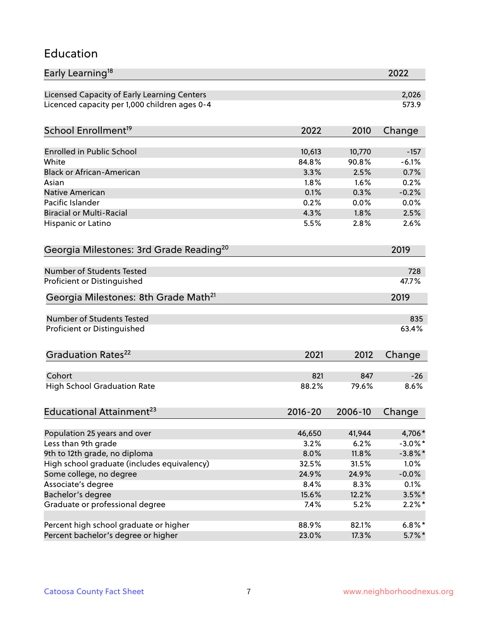#### Education

| Early Learning <sup>18</sup>                        |              |              | 2022         |
|-----------------------------------------------------|--------------|--------------|--------------|
| Licensed Capacity of Early Learning Centers         |              |              | 2,026        |
| Licenced capacity per 1,000 children ages 0-4       |              |              | 573.9        |
| School Enrollment <sup>19</sup>                     | 2022         | 2010         | Change       |
|                                                     |              |              |              |
| <b>Enrolled in Public School</b>                    | 10,613       | 10,770       | $-157$       |
| White<br><b>Black or African-American</b>           | 84.8%        | 90.8%        | $-6.1%$      |
|                                                     | 3.3%         | 2.5%<br>1.6% | 0.7%         |
| Asian                                               | 1.8%         |              | 0.2%         |
| <b>Native American</b><br>Pacific Islander          | 0.1%<br>0.2% | 0.3%         | $-0.2%$      |
| <b>Biracial or Multi-Racial</b>                     | 4.3%         | 0.0%<br>1.8% | 0.0%<br>2.5% |
|                                                     |              |              |              |
| Hispanic or Latino                                  | 5.5%         | 2.8%         | 2.6%         |
| Georgia Milestones: 3rd Grade Reading <sup>20</sup> |              |              | 2019         |
| Number of Students Tested                           |              |              | 728          |
| Proficient or Distinguished                         |              |              | 47.7%        |
| Georgia Milestones: 8th Grade Math <sup>21</sup>    |              |              | 2019         |
| Number of Students Tested                           |              |              | 835          |
| Proficient or Distinguished                         |              |              | 63.4%        |
| Graduation Rates <sup>22</sup>                      | 2021         | 2012         | Change       |
| Cohort                                              | 821          | 847          | $-26$        |
| <b>High School Graduation Rate</b>                  | 88.2%        | 79.6%        | 8.6%         |
|                                                     |              |              |              |
| Educational Attainment <sup>23</sup>                | $2016 - 20$  | 2006-10      | Change       |
| Population 25 years and over                        | 46,650       | 41,944       | 4,706*       |
| Less than 9th grade                                 | 3.2%         | 6.2%         | $-3.0\%$ *   |
| 9th to 12th grade, no diploma                       | 8.0%         | 11.8%        | $-3.8\%$ *   |
| High school graduate (includes equivalency)         | 32.5%        | 31.5%        | 1.0%         |
| Some college, no degree                             | 24.9%        | 24.9%        | $-0.0%$      |
| Associate's degree                                  | 8.4%         | 8.3%         | 0.1%         |
| Bachelor's degree                                   | 15.6%        | 12.2%        | $3.5\%$ *    |
| Graduate or professional degree                     | 7.4%         | 5.2%         | $2.2\%$ *    |
| Percent high school graduate or higher              | 88.9%        | 82.1%        | $6.8\%*$     |
| Percent bachelor's degree or higher                 | 23.0%        | 17.3%        | $5.7\%$ *    |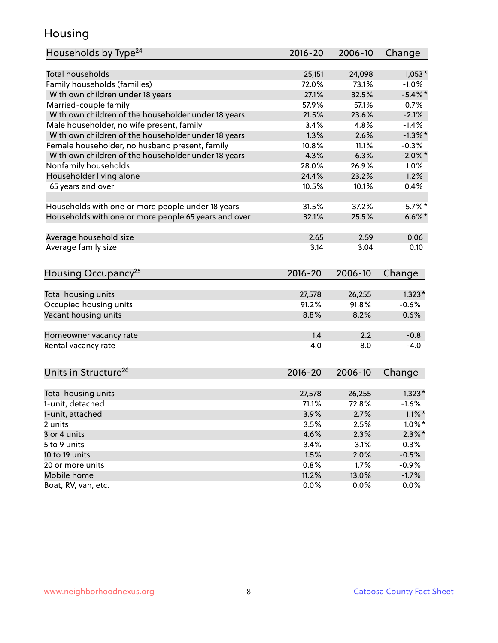### Housing

| Households by Type <sup>24</sup>                     | 2016-20     | 2006-10 | Change     |
|------------------------------------------------------|-------------|---------|------------|
|                                                      |             |         |            |
| <b>Total households</b>                              | 25,151      | 24,098  | $1,053*$   |
| Family households (families)                         | 72.0%       | 73.1%   | $-1.0%$    |
| With own children under 18 years                     | 27.1%       | 32.5%   | $-5.4\%$ * |
| Married-couple family                                | 57.9%       | 57.1%   | 0.7%       |
| With own children of the householder under 18 years  | 21.5%       | 23.6%   | $-2.1%$    |
| Male householder, no wife present, family            | 3.4%        | 4.8%    | $-1.4%$    |
| With own children of the householder under 18 years  | 1.3%        | 2.6%    | $-1.3\%$ * |
| Female householder, no husband present, family       | 10.8%       | 11.1%   | $-0.3%$    |
| With own children of the householder under 18 years  | 4.3%        | 6.3%    | $-2.0\%$ * |
| Nonfamily households                                 | 28.0%       | 26.9%   | 1.0%       |
| Householder living alone                             | 24.4%       | 23.2%   | 1.2%       |
| 65 years and over                                    | 10.5%       | 10.1%   | 0.4%       |
|                                                      |             |         |            |
| Households with one or more people under 18 years    | 31.5%       | 37.2%   | $-5.7%$ *  |
| Households with one or more people 65 years and over | 32.1%       | 25.5%   | $6.6\%$ *  |
|                                                      |             |         |            |
| Average household size                               | 2.65        | 2.59    | 0.06       |
| Average family size                                  | 3.14        | 3.04    | 0.10       |
|                                                      |             |         |            |
| Housing Occupancy <sup>25</sup>                      | $2016 - 20$ | 2006-10 | Change     |
|                                                      |             |         |            |
| Total housing units                                  | 27,578      | 26,255  | $1,323*$   |
| Occupied housing units                               | 91.2%       | 91.8%   | $-0.6%$    |
| Vacant housing units                                 | 8.8%        | 8.2%    | 0.6%       |
|                                                      |             |         |            |
| Homeowner vacancy rate                               | 1.4         | 2.2     | $-0.8$     |
| Rental vacancy rate                                  | 4.0         | 8.0     | $-4.0$     |
|                                                      |             |         |            |
| Units in Structure <sup>26</sup>                     | 2016-20     | 2006-10 | Change     |
|                                                      |             |         |            |
| Total housing units                                  | 27,578      | 26,255  | $1,323*$   |
| 1-unit, detached                                     | 71.1%       | 72.8%   | $-1.6%$    |
| 1-unit, attached                                     | 3.9%        | 2.7%    | $1.1\%$ *  |
| 2 units                                              | 3.5%        | 2.5%    | $1.0\%$ *  |
| 3 or 4 units                                         | 4.6%        | 2.3%    | $2.3\%*$   |
| 5 to 9 units                                         | 3.4%        | 3.1%    | 0.3%       |
| 10 to 19 units                                       | 1.5%        | 2.0%    | $-0.5%$    |
| 20 or more units                                     | 0.8%        | 1.7%    | $-0.9%$    |
| Mobile home                                          | 11.2%       | 13.0%   | $-1.7%$    |
| Boat, RV, van, etc.                                  | 0.0%        | 0.0%    | $0.0\%$    |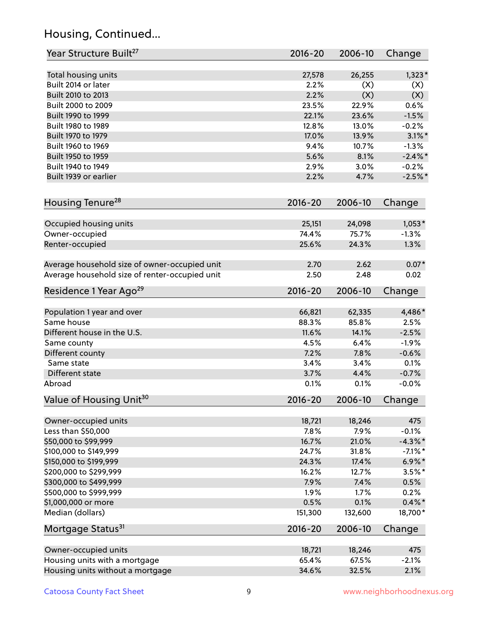# Housing, Continued...

| Year Structure Built <sup>27</sup>             | 2016-20     | 2006-10 | Change     |
|------------------------------------------------|-------------|---------|------------|
| Total housing units                            | 27,578      | 26,255  | $1,323*$   |
| Built 2014 or later                            | 2.2%        | (X)     | (X)        |
| Built 2010 to 2013                             | 2.2%        | (X)     | (X)        |
| Built 2000 to 2009                             | 23.5%       | 22.9%   | 0.6%       |
| Built 1990 to 1999                             | 22.1%       | 23.6%   | $-1.5%$    |
| Built 1980 to 1989                             | 12.8%       | 13.0%   | $-0.2%$    |
| Built 1970 to 1979                             | 17.0%       | 13.9%   | $3.1\%$ *  |
| Built 1960 to 1969                             | 9.4%        | 10.7%   | $-1.3%$    |
| Built 1950 to 1959                             | 5.6%        | 8.1%    | $-2.4\%$ * |
| Built 1940 to 1949                             | 2.9%        | 3.0%    | $-0.2%$    |
| Built 1939 or earlier                          | 2.2%        | 4.7%    | $-2.5%$    |
| Housing Tenure <sup>28</sup>                   | $2016 - 20$ | 2006-10 | Change     |
| Occupied housing units                         | 25,151      | 24,098  | $1,053*$   |
| Owner-occupied                                 | 74.4%       | 75.7%   | $-1.3%$    |
| Renter-occupied                                | 25.6%       | 24.3%   | 1.3%       |
| Average household size of owner-occupied unit  | 2.70        | 2.62    | $0.07*$    |
| Average household size of renter-occupied unit | 2.50        | 2.48    | 0.02       |
| Residence 1 Year Ago <sup>29</sup>             | $2016 - 20$ | 2006-10 | Change     |
| Population 1 year and over                     | 66,821      | 62,335  | 4,486*     |
| Same house                                     | 88.3%       | 85.8%   | 2.5%       |
| Different house in the U.S.                    | 11.6%       | 14.1%   | $-2.5%$    |
| Same county                                    | 4.5%        | 6.4%    | $-1.9%$    |
| Different county                               | 7.2%        | 7.8%    | $-0.6%$    |
| Same state                                     | 3.4%        | 3.4%    | 0.1%       |
| Different state                                | 3.7%        | 4.4%    | $-0.7%$    |
| Abroad                                         | 0.1%        | 0.1%    | $-0.0%$    |
| Value of Housing Unit <sup>30</sup>            | $2016 - 20$ | 2006-10 | Change     |
| Owner-occupied units                           | 18,721      | 18,246  | 475        |
| Less than \$50,000                             | 7.8%        | 7.9%    | $-0.1%$    |
| \$50,000 to \$99,999                           | 16.7%       | 21.0%   | $-4.3\%$ * |
| \$100,000 to \$149,999                         | 24.7%       | 31.8%   | $-7.1\%$ * |
| \$150,000 to \$199,999                         | 24.3%       | 17.4%   | $6.9\%$ *  |
| \$200,000 to \$299,999                         | 16.2%       | 12.7%   | $3.5\%$ *  |
| \$300,000 to \$499,999                         | 7.9%        | 7.4%    | 0.5%       |
| \$500,000 to \$999,999                         | 1.9%        | 1.7%    | 0.2%       |
| \$1,000,000 or more                            | 0.5%        | 0.1%    | $0.4\%$ *  |
| Median (dollars)                               | 151,300     | 132,600 | 18,700*    |
| Mortgage Status <sup>31</sup>                  | $2016 - 20$ | 2006-10 | Change     |
| Owner-occupied units                           | 18,721      | 18,246  | 475        |
| Housing units with a mortgage                  | 65.4%       | 67.5%   | $-2.1%$    |
| Housing units without a mortgage               | 34.6%       | 32.5%   | 2.1%       |
|                                                |             |         |            |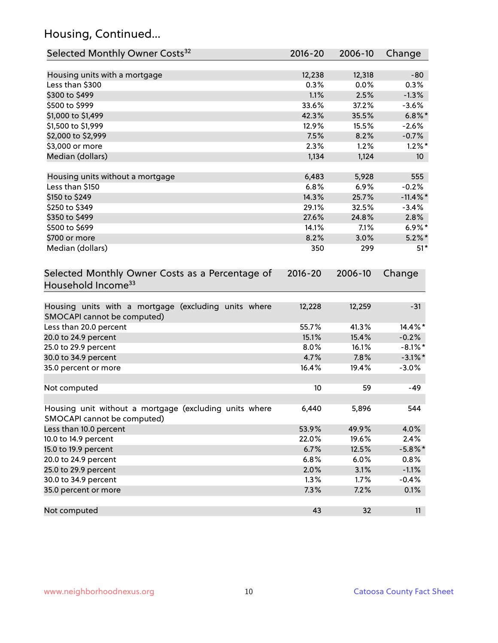# Housing, Continued...

| Selected Monthly Owner Costs <sup>32</sup>                                            | 2016-20     | 2006-10 | Change          |
|---------------------------------------------------------------------------------------|-------------|---------|-----------------|
| Housing units with a mortgage                                                         | 12,238      | 12,318  | $-80$           |
| Less than \$300                                                                       | 0.3%        | 0.0%    | 0.3%            |
| \$300 to \$499                                                                        | 1.1%        | 2.5%    | $-1.3%$         |
| \$500 to \$999                                                                        | 33.6%       | 37.2%   | $-3.6%$         |
| \$1,000 to \$1,499                                                                    | 42.3%       | 35.5%   | $6.8\%$ *       |
| \$1,500 to \$1,999                                                                    | 12.9%       | 15.5%   | $-2.6%$         |
| \$2,000 to \$2,999                                                                    | 7.5%        | 8.2%    | $-0.7%$         |
| \$3,000 or more                                                                       | 2.3%        | 1.2%    | $1.2\%$ *       |
| Median (dollars)                                                                      | 1,134       | 1,124   | 10 <sup>°</sup> |
| Housing units without a mortgage                                                      | 6,483       | 5,928   | 555             |
| Less than \$150                                                                       | 6.8%        | 6.9%    | $-0.2%$         |
| \$150 to \$249                                                                        | 14.3%       | 25.7%   | $-11.4\%$ *     |
| \$250 to \$349                                                                        | 29.1%       | 32.5%   | $-3.4%$         |
| \$350 to \$499                                                                        | 27.6%       | 24.8%   | 2.8%            |
| \$500 to \$699                                                                        | 14.1%       | 7.1%    | $6.9\%*$        |
| \$700 or more                                                                         | 8.2%        | 3.0%    | $5.2\%$ *       |
| Median (dollars)                                                                      | 350         | 299     | $51*$           |
| Selected Monthly Owner Costs as a Percentage of<br>Household Income <sup>33</sup>     | $2016 - 20$ | 2006-10 | Change          |
| Housing units with a mortgage (excluding units where<br>SMOCAPI cannot be computed)   | 12,228      | 12,259  | $-31$           |
| Less than 20.0 percent                                                                | 55.7%       | 41.3%   | 14.4%*          |
| 20.0 to 24.9 percent                                                                  | 15.1%       | 15.4%   | $-0.2%$         |
| 25.0 to 29.9 percent                                                                  | 8.0%        | 16.1%   | $-8.1\%$ *      |
| 30.0 to 34.9 percent                                                                  | 4.7%        | 7.8%    | $-3.1\%$ *      |
| 35.0 percent or more                                                                  | 16.4%       | 19.4%   | $-3.0%$         |
| Not computed                                                                          | 10          | 59      | $-49$           |
| Housing unit without a mortgage (excluding units where<br>SMOCAPI cannot be computed) | 6,440       | 5,896   | 544             |
| Less than 10.0 percent                                                                | 53.9%       | 49.9%   | 4.0%            |
| 10.0 to 14.9 percent                                                                  | 22.0%       | 19.6%   | 2.4%            |
| 15.0 to 19.9 percent                                                                  | 6.7%        | 12.5%   | $-5.8\%$ *      |
| 20.0 to 24.9 percent                                                                  | 6.8%        | 6.0%    | 0.8%            |
| 25.0 to 29.9 percent                                                                  | 2.0%        | 3.1%    | $-1.1%$         |
| 30.0 to 34.9 percent                                                                  | 1.3%        | 1.7%    | $-0.4%$         |
| 35.0 percent or more                                                                  | 7.3%        | 7.2%    | 0.1%            |
| Not computed                                                                          | 43          | 32      | 11              |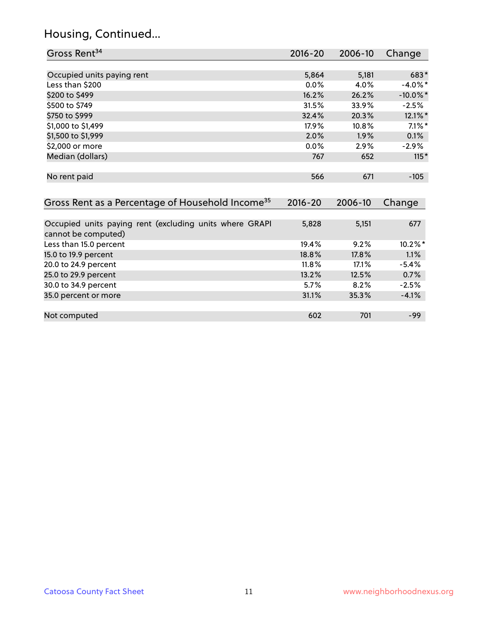# Housing, Continued...

| Gross Rent <sup>34</sup>                                     | 2016-20     | 2006-10 | Change      |
|--------------------------------------------------------------|-------------|---------|-------------|
|                                                              |             |         |             |
| Occupied units paying rent                                   | 5,864       | 5,181   | 683*        |
| Less than \$200                                              | 0.0%        | 4.0%    | $-4.0\%$ *  |
| \$200 to \$499                                               | 16.2%       | 26.2%   | $-10.0\%$ * |
| \$500 to \$749                                               | 31.5%       | 33.9%   | $-2.5\%$    |
| \$750 to \$999                                               | 32.4%       | 20.3%   | $12.1\%$ *  |
| \$1,000 to \$1,499                                           | 17.9%       | 10.8%   | $7.1\%$ *   |
| \$1,500 to \$1,999                                           | 2.0%        | 1.9%    | 0.1%        |
| \$2,000 or more                                              | $0.0\%$     | 2.9%    | -2.9%       |
| Median (dollars)                                             | 767         | 652     | $115*$      |
|                                                              |             |         |             |
| No rent paid                                                 | 566         | 671     | $-105$      |
|                                                              |             |         |             |
| Gross Rent as a Percentage of Household Income <sup>35</sup> | $2016 - 20$ | 2006-10 | Change      |
|                                                              |             |         |             |
| Occupied units paying rent (excluding units where GRAPI      | 5,828       | 5,151   | 677         |
| cannot be computed)                                          |             |         |             |
| Less than 15.0 percent                                       | 19.4%       | 9.2%    | $10.2\%$ *  |
| 15.0 to 19.9 percent                                         | 18.8%       | 17.8%   | 1.1%        |
| 20.0 to 24.9 percent                                         | 11.8%       | 17.1%   | $-5.4%$     |
| 25.0 to 29.9 percent                                         | 13.2%       | 12.5%   | 0.7%        |
| 30.0 to 34.9 percent                                         | 5.7%        | 8.2%    | $-2.5%$     |

| 35.0 percent or more | 31.1% | 35.3% | $-4.1%$ |
|----------------------|-------|-------|---------|
|                      |       |       |         |
| Not computed         | 602   | 701   | -99     |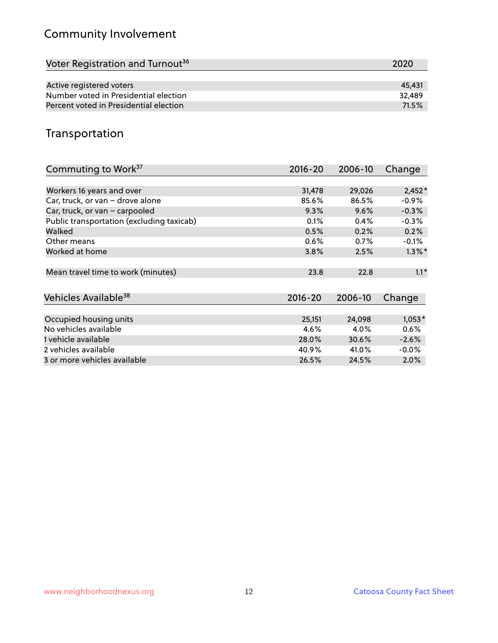# Community Involvement

| Voter Registration and Turnout <sup>36</sup> | 2020   |
|----------------------------------------------|--------|
|                                              |        |
| Active registered voters                     | 45.431 |
| Number voted in Presidential election        | 32.489 |
| Percent voted in Presidential election       | 71.5%  |

## Transportation

| Commuting to Work <sup>37</sup>           | 2016-20     | 2006-10 | Change    |
|-------------------------------------------|-------------|---------|-----------|
|                                           |             |         |           |
| Workers 16 years and over                 | 31,478      | 29,026  | $2,452*$  |
| Car, truck, or van - drove alone          | 85.6%       | 86.5%   | $-0.9%$   |
| Car, truck, or van - carpooled            | 9.3%        | 9.6%    | $-0.3%$   |
| Public transportation (excluding taxicab) | 0.1%        | 0.4%    | $-0.3%$   |
| Walked                                    | 0.5%        | 0.2%    | 0.2%      |
| Other means                               | 0.6%        | 0.7%    | $-0.1%$   |
| Worked at home                            | 3.8%        | 2.5%    | $1.3\%$ * |
| Mean travel time to work (minutes)        | 23.8        | 22.8    | $1.1*$    |
| Vehicles Available <sup>38</sup>          | $2016 - 20$ | 2006-10 | Change    |
| Occupied housing units                    | 25,151      | 24,098  | $1,053*$  |
| No vehicles available                     | 4.6%        | 4.0%    | 0.6%      |
| 1 vehicle available                       | 28.0%       | 30.6%   | $-2.6%$   |
| 2 vehicles available                      | 40.9%       | 41.0%   | $-0.0\%$  |
| 3 or more vehicles available              | 26.5%       | 24.5%   | $2.0\%$   |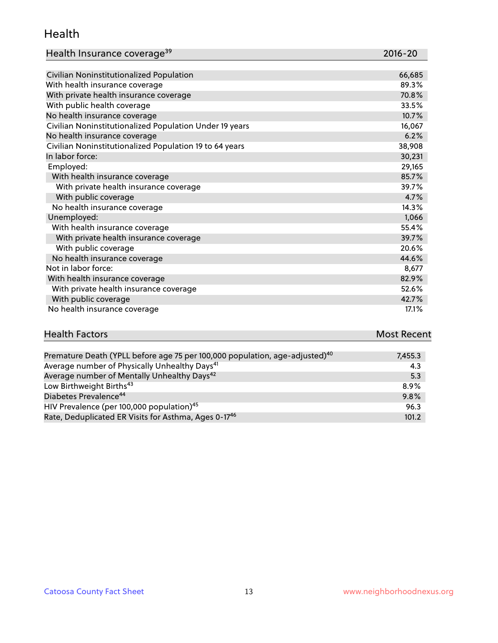#### Health

| Health Insurance coverage <sup>39</sup> | 2016-20 |
|-----------------------------------------|---------|
|-----------------------------------------|---------|

| Civilian Noninstitutionalized Population                | 66,685 |
|---------------------------------------------------------|--------|
| With health insurance coverage                          | 89.3%  |
| With private health insurance coverage                  | 70.8%  |
| With public health coverage                             | 33.5%  |
| No health insurance coverage                            | 10.7%  |
| Civilian Noninstitutionalized Population Under 19 years | 16,067 |
| No health insurance coverage                            | 6.2%   |
| Civilian Noninstitutionalized Population 19 to 64 years | 38,908 |
| In labor force:                                         | 30,231 |
| Employed:                                               | 29,165 |
| With health insurance coverage                          | 85.7%  |
| With private health insurance coverage                  | 39.7%  |
| With public coverage                                    | 4.7%   |
| No health insurance coverage                            | 14.3%  |
| Unemployed:                                             | 1,066  |
| With health insurance coverage                          | 55.4%  |
| With private health insurance coverage                  | 39.7%  |
| With public coverage                                    | 20.6%  |
| No health insurance coverage                            | 44.6%  |
| Not in labor force:                                     | 8,677  |
| With health insurance coverage                          | 82.9%  |
| With private health insurance coverage                  | 52.6%  |
| With public coverage                                    | 42.7%  |
| No health insurance coverage                            | 17.1%  |

# **Health Factors Most Recent** And The Control of the Control of The Control of The Control of The Control of The Control of The Control of The Control of The Control of The Control of The Control of The Control of The Contr

| Premature Death (YPLL before age 75 per 100,000 population, age-adjusted) <sup>40</sup> | 7,455.3 |
|-----------------------------------------------------------------------------------------|---------|
| Average number of Physically Unhealthy Days <sup>41</sup>                               | 4.3     |
| Average number of Mentally Unhealthy Days <sup>42</sup>                                 | 5.3     |
| Low Birthweight Births <sup>43</sup>                                                    | 8.9%    |
| Diabetes Prevalence <sup>44</sup>                                                       | 9.8%    |
| HIV Prevalence (per 100,000 population) <sup>45</sup>                                   | 96.3    |
| Rate, Deduplicated ER Visits for Asthma, Ages 0-17 <sup>46</sup>                        | 101.2   |